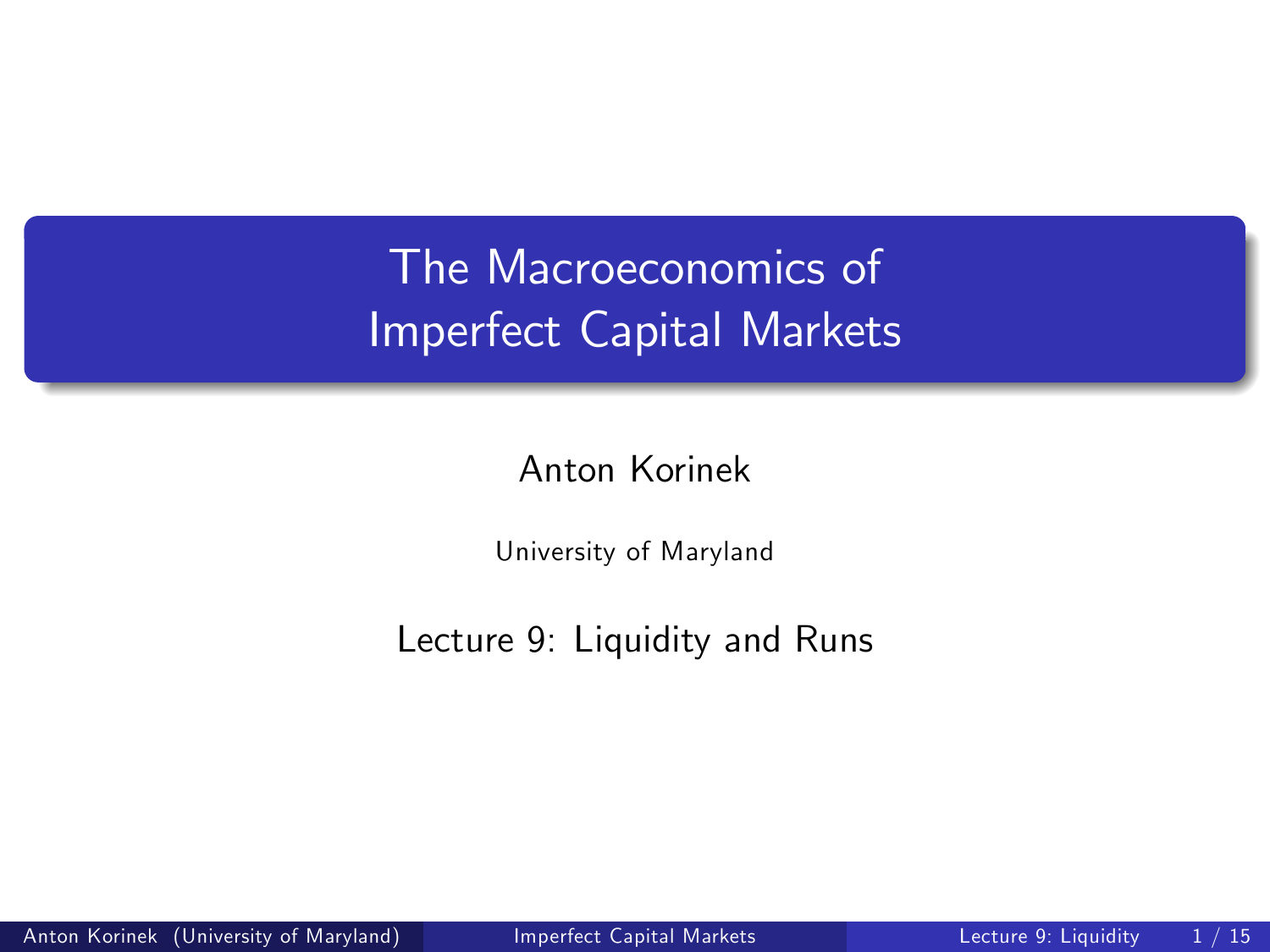# The Macroeconomics of Imperfect Capital Markets

Anton Korinek

<span id="page-0-0"></span>University of Maryland

Lecture 9: Liquidity and Runs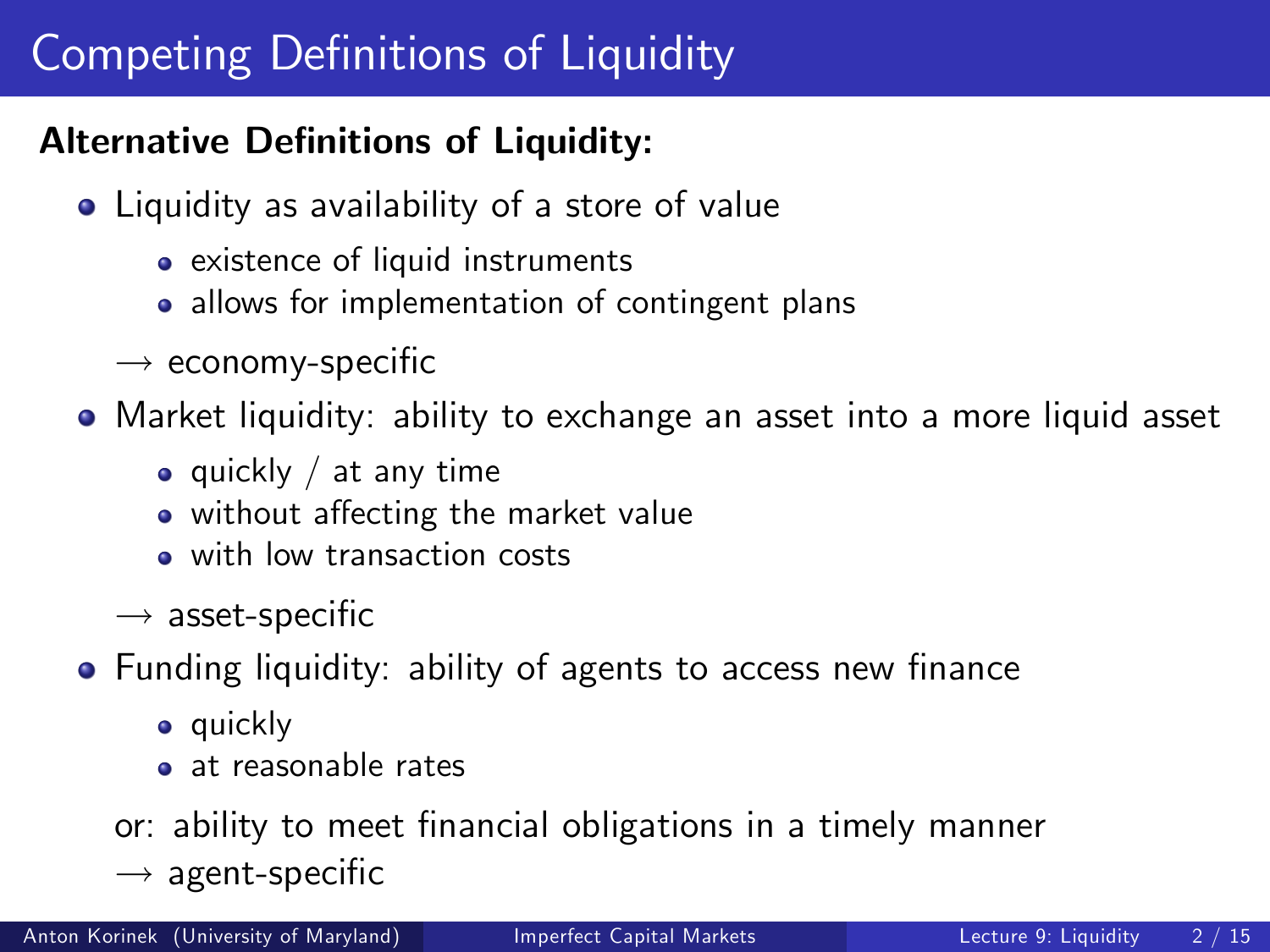# Competing Definitions of Liquidity

### Alternative Definitions of Liquidity:

- Liquidity as availability of a store of value
	- existence of liquid instruments
	- allows for implementation of contingent plans
	- $\rightarrow$  economy-specific

Market liquidity: ability to exchange an asset into a more liquid asset

- $\bullet$  quickly / at any time
- without affecting the market value
- with low transaction costs
- $\rightarrow$  asset-specific
- Funding liquidity: ability of agents to access new finance
	- **•** quickly
	- **a** at reasonable rates

or: ability to meet financial obligations in a timely manner

 $\rightarrow$  agent-specific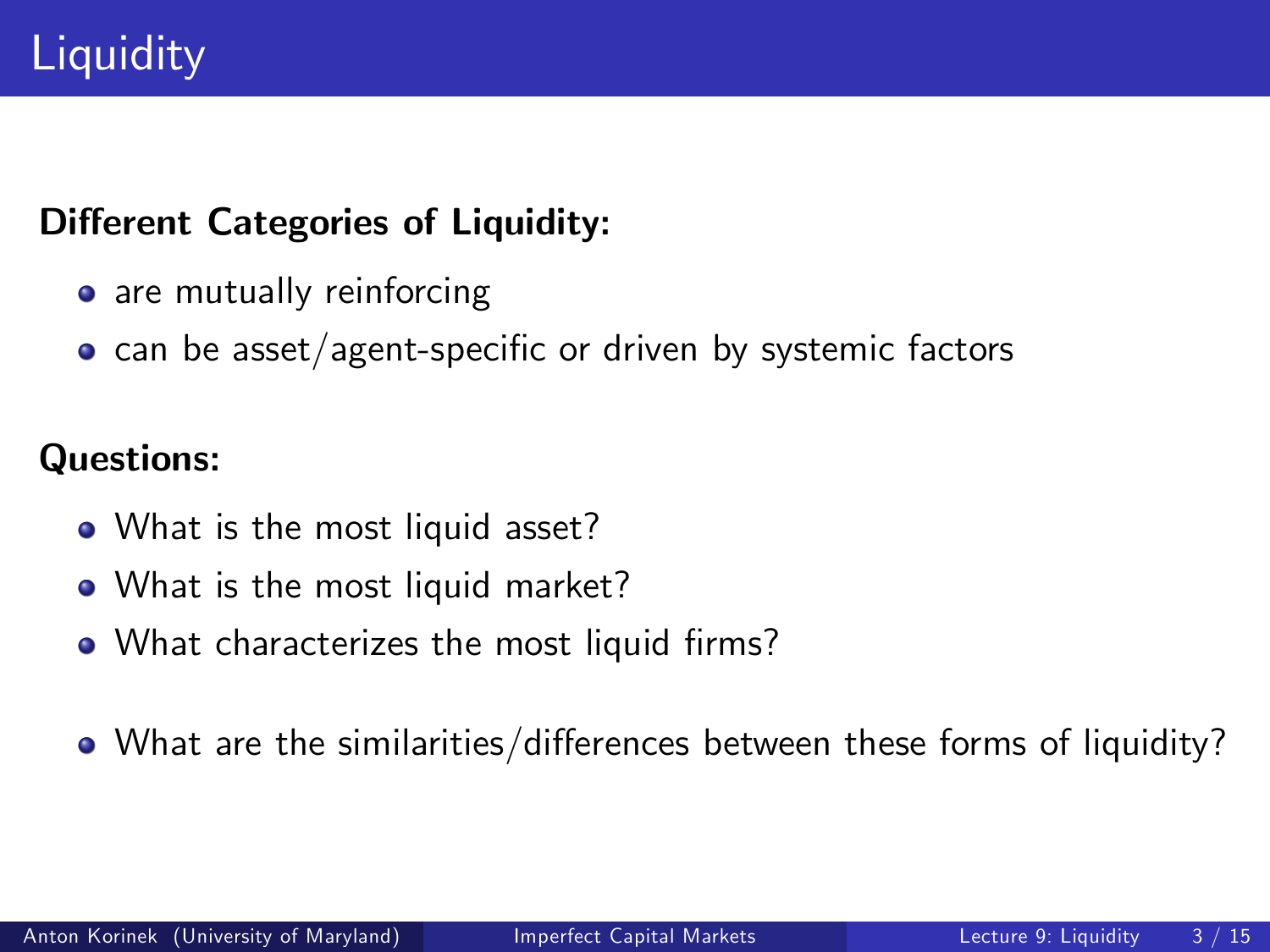### Different Categories of Liquidity:

- o are mutually reinforcing
- $\bullet$  can be asset/agent-specific or driven by systemic factors

## Questions:

- What is the most liquid asset?
- What is the most liquid market?
- What characterizes the most liquid firms?
- $\bullet$  What are the similarities/differences between these forms of liquidity?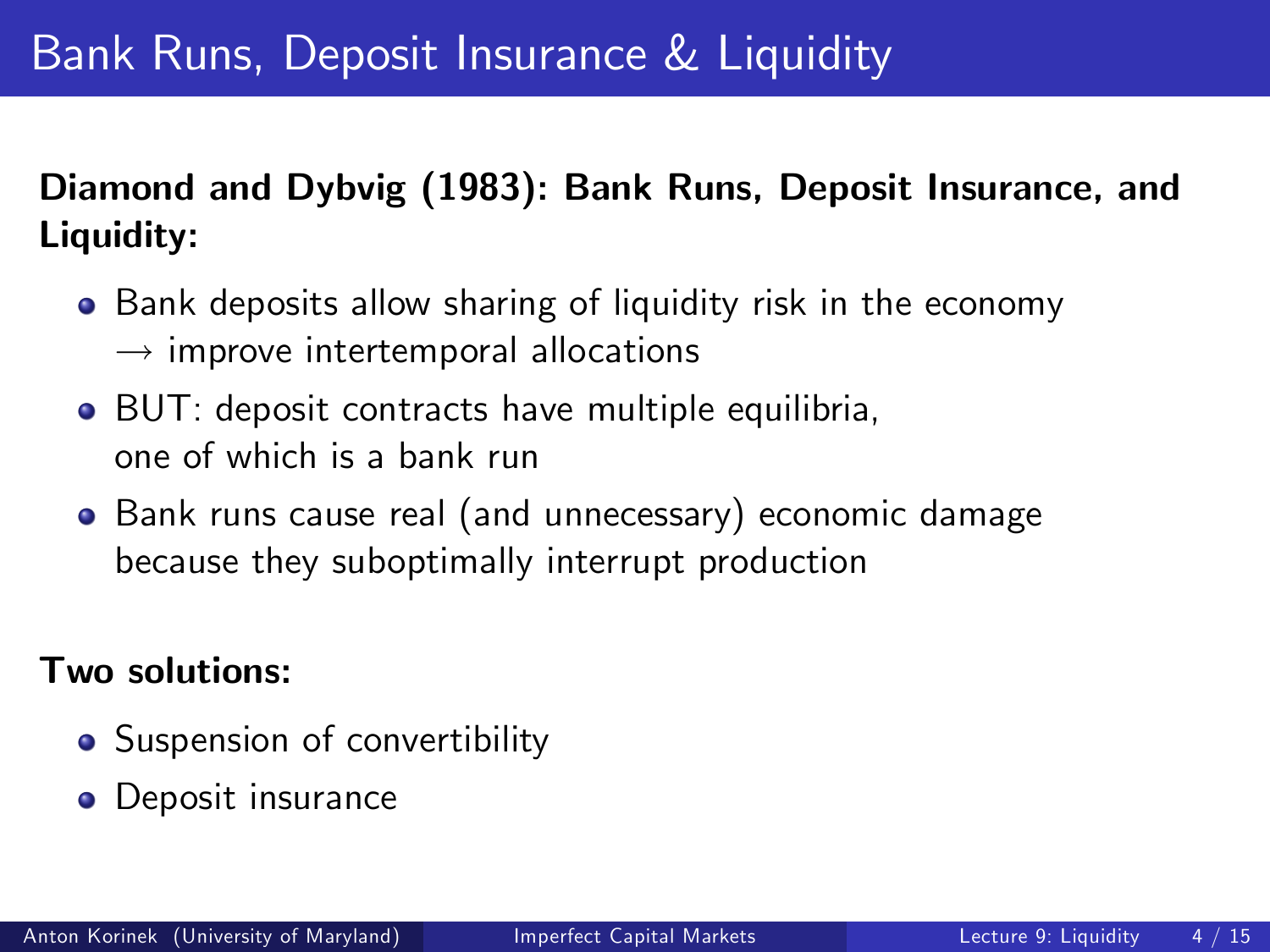# Bank Runs, Deposit Insurance & Liquidity

# Diamond and Dybvig (1983): Bank Runs, Deposit Insurance, and Liquidity:

- **•** Bank deposits allow sharing of liquidity risk in the economy  $\rightarrow$  improve intertemporal allocations
- BUT: deposit contracts have multiple equilibria, one of which is a bank run
- Bank runs cause real (and unnecessary) economic damage because they suboptimally interrupt production

#### Two solutions:

- Suspension of convertibility
- **o** Deposit insurance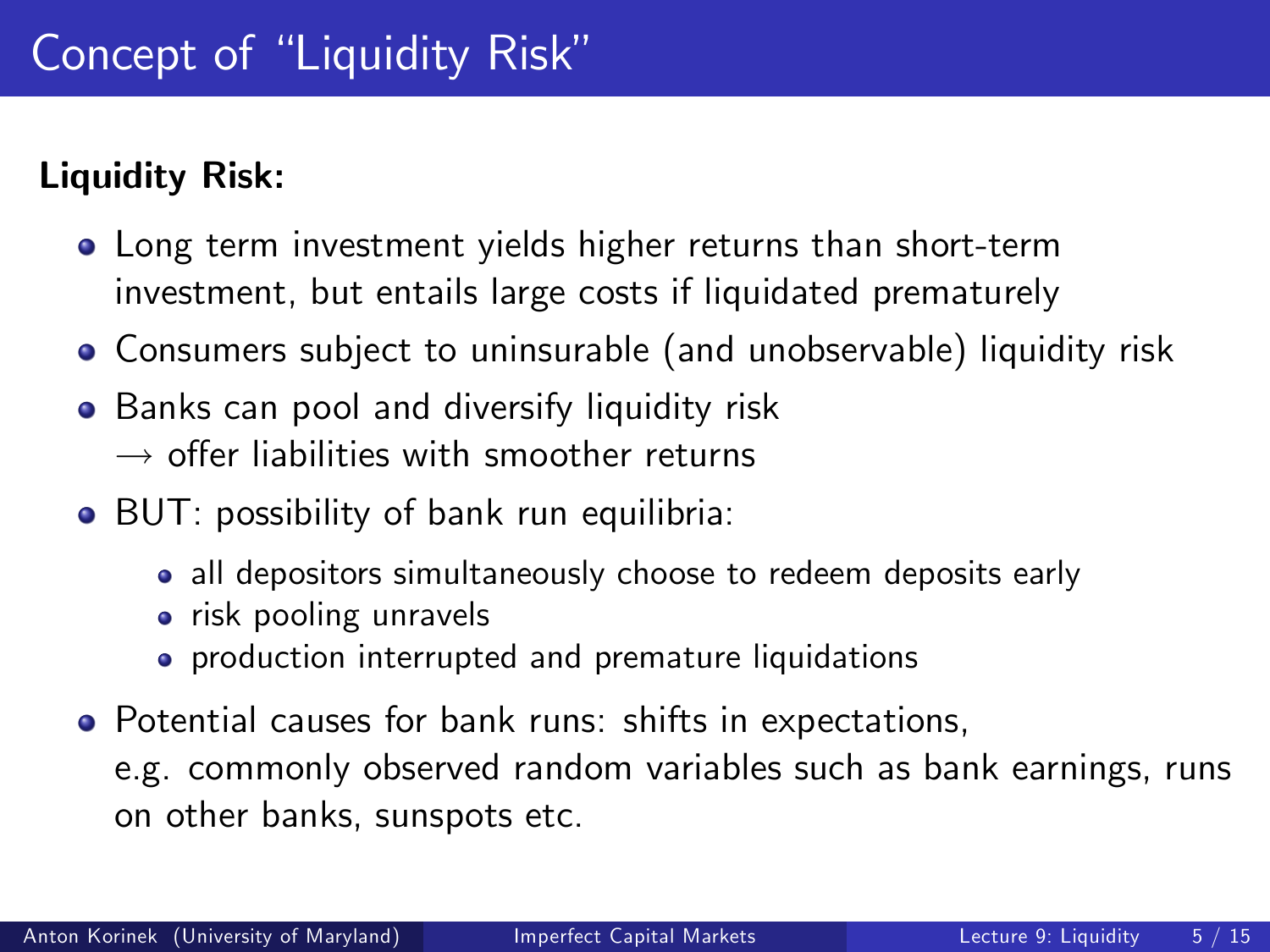## Liquidity Risk:

- Long term investment yields higher returns than short-term investment, but entails large costs if liquidated prematurely
- Consumers subject to uninsurable (and unobservable) liquidity risk
- **•** Banks can pool and diversify liquidity risk  $\rightarrow$  offer liabilities with smoother returns
- BUT: possibility of bank run equilibria:
	- all depositors simultaneously choose to redeem deposits early
	- risk pooling unravels
	- **•** production interrupted and premature liquidations
- Potential causes for bank runs: shifts in expectations,

e.g. commonly observed random variables such as bank earnings, runs on other banks, sunspots etc.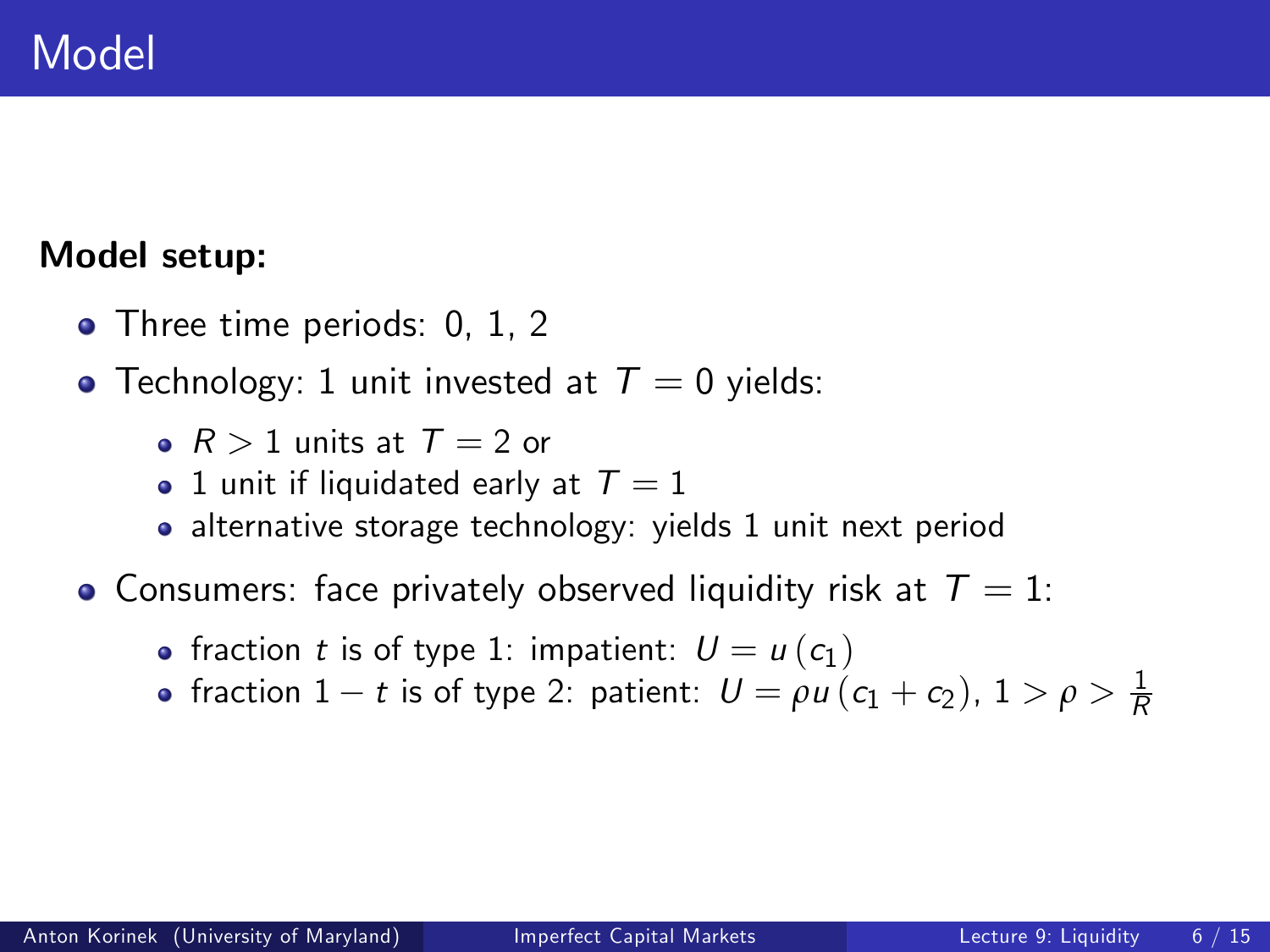# Model

#### Model setup:

- Three time periods: 0, 1, 2
- Technology: 1 unit invested at  $T = 0$  yields:
	- $R > 1$  units at  $T = 2$  or
	- $\bullet\,$  1 unit if liquidated early at  $\, \mathcal{T} = 1$
	- alternative storage technology: yields 1 unit next period
- Consumers: face privately observed liquidity risk at  $T = 1$ :
	- fraction t is of type 1: impatient:  $U = u(c_1)$
	- fraction  $1 t$  is of type 2: patient:  $U = \rho u (c_1 + c_2), 1 > \rho > \frac{1}{R}$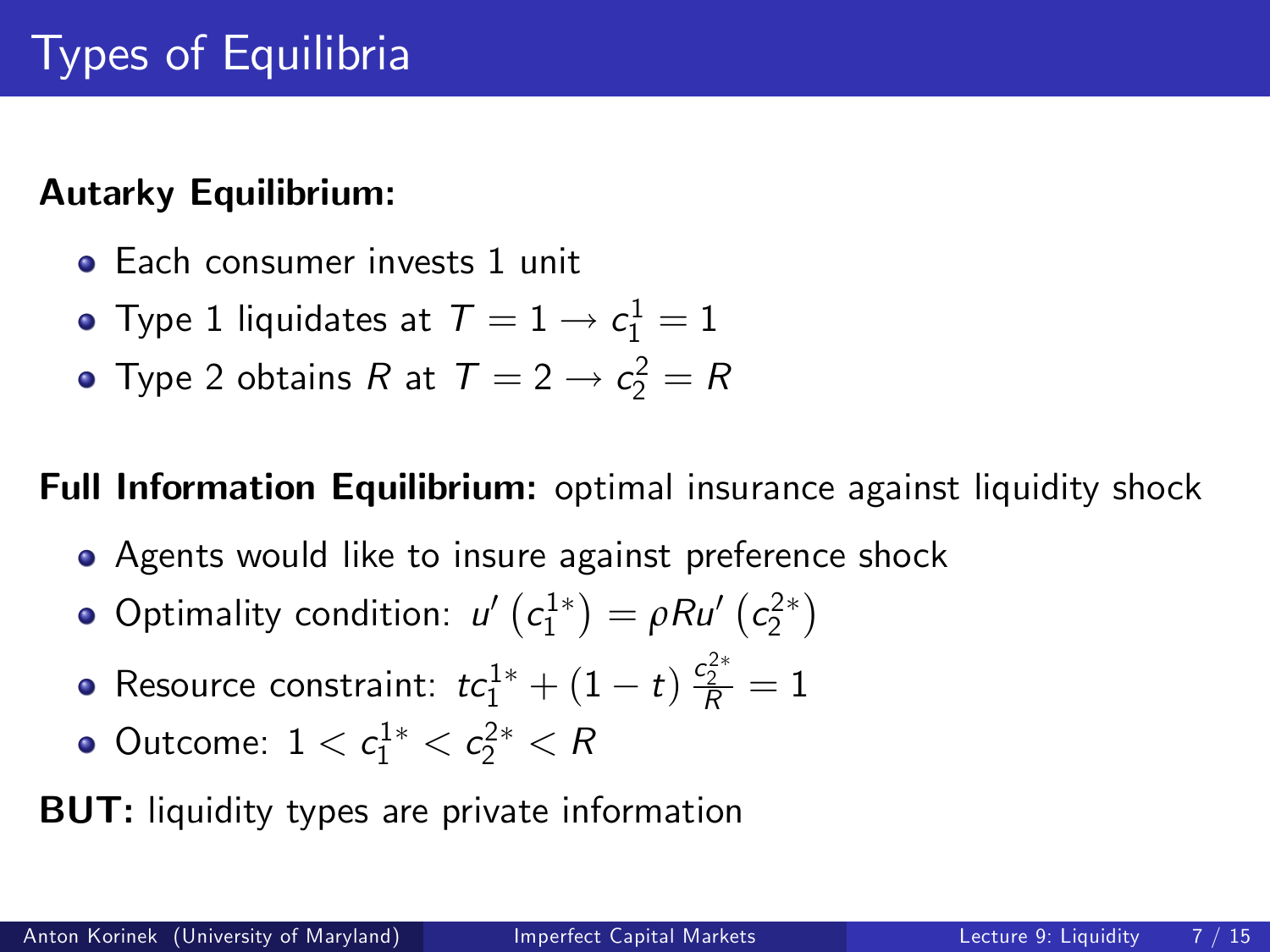### Autarky Equilibrium:

- **•** Each consumer invests 1 unit
- Type 1 liquidates at  $\mathcal{T}=1 \rightarrow c_1^1=1$
- Type 2 obtains R at  $T = 2 \rightarrow c_2^2 = R$

#### Full Information Equilibrium: optimal insurance against liquidity shock

- **•** Agents would like to insure against preference shock
- Optimality condition:  $u'\left(c_1^{1*}\right) = \rho R u'\left(c_2^{2*}\right)$
- Resource constraint:  $tc_1^{1*} + (1-t) \, \frac{c_2^{2*}}{R} = 1$
- Outcome:  $1 < c_1^{1*} < c_2^{2*} < R$

BUT: liquidity types are private information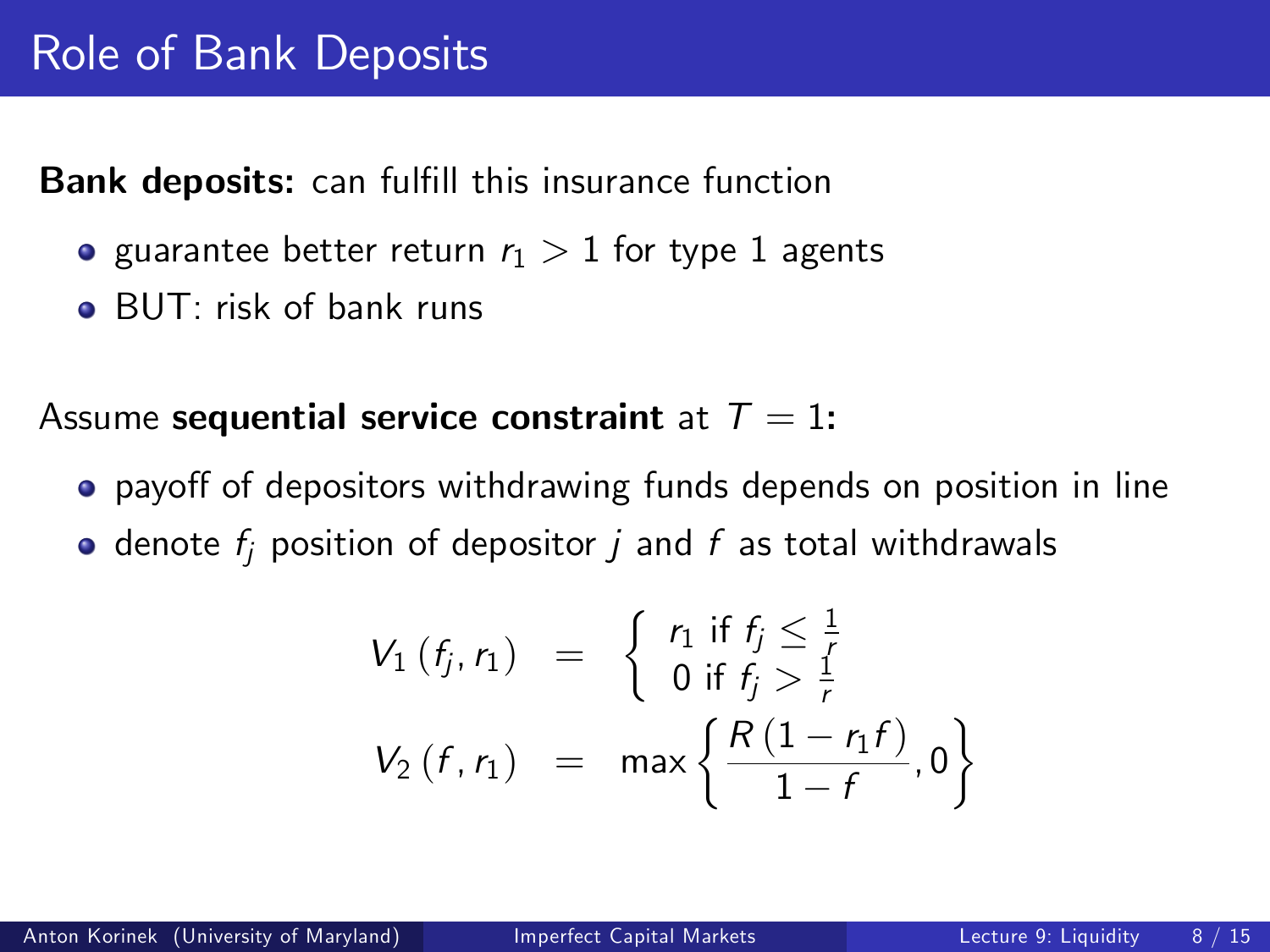**Bank deposits:** can fulfill this insurance function

- guarantee better return  $r_1 > 1$  for type 1 agents
- BUT: risk of bank runs

Assume sequential service constraint at  $T = 1$ :

- payoff of depositors withdrawing funds depends on position in line
- $\bullet$  denote  $f_i$  position of depositor  $i$  and  $f$  as total withdrawals

$$
V_1(f_j, r_1) = \begin{cases} r_1 \text{ if } f_j \leq \frac{1}{f} \\ 0 \text{ if } f_j > \frac{1}{f} \end{cases}
$$
  

$$
V_2(f, r_1) = \max \left\{ \frac{R(1 - r_1 f)}{1 - f}, 0 \right\}
$$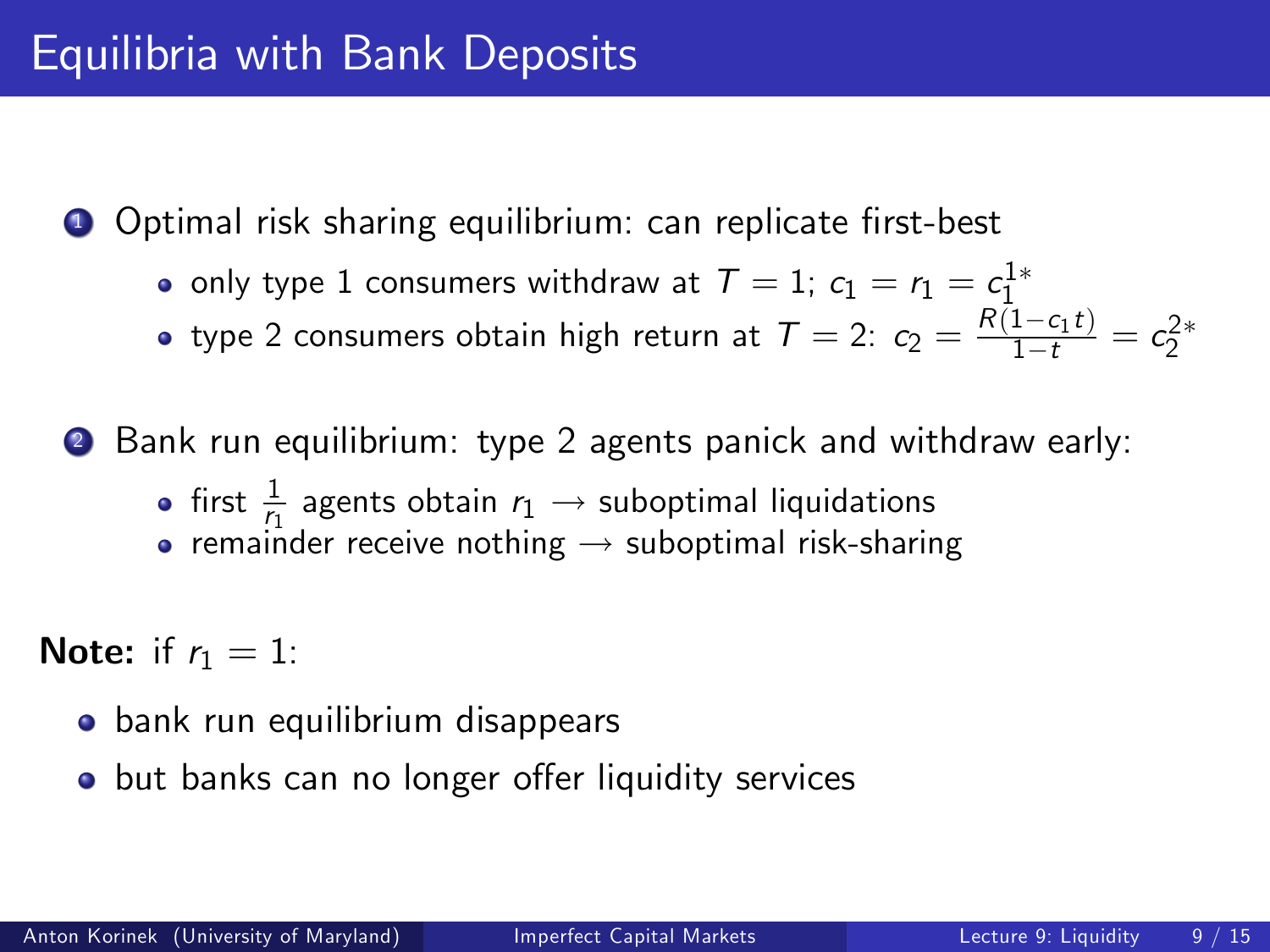**1** Optimal risk sharing equilibrium: can replicate first-best

only type  $1$  consumers withdraw at  $\mathcal{T}=1; \ c_1=r_1=\frac{c_1^{1*}}{2}$ 

type 2 consumers obtain high return at  $T = 2$ :  $c_2 = \frac{R(1-c_1t)}{1-t} = c_2^{2*}$ 

<sup>2</sup> Bank run equilibrium: type 2 agents panick and withdraw early:

- first  $\frac{1}{r_1}$  agents obtain  $r_1 \rightarrow$  suboptimal liquidations
- **•** remainder receive nothing  $\rightarrow$  suboptimal risk-sharing

**Note:** if  $r_1 = 1$ :

- **•** bank run equilibrium disappears
- o but banks can no longer offer liquidity services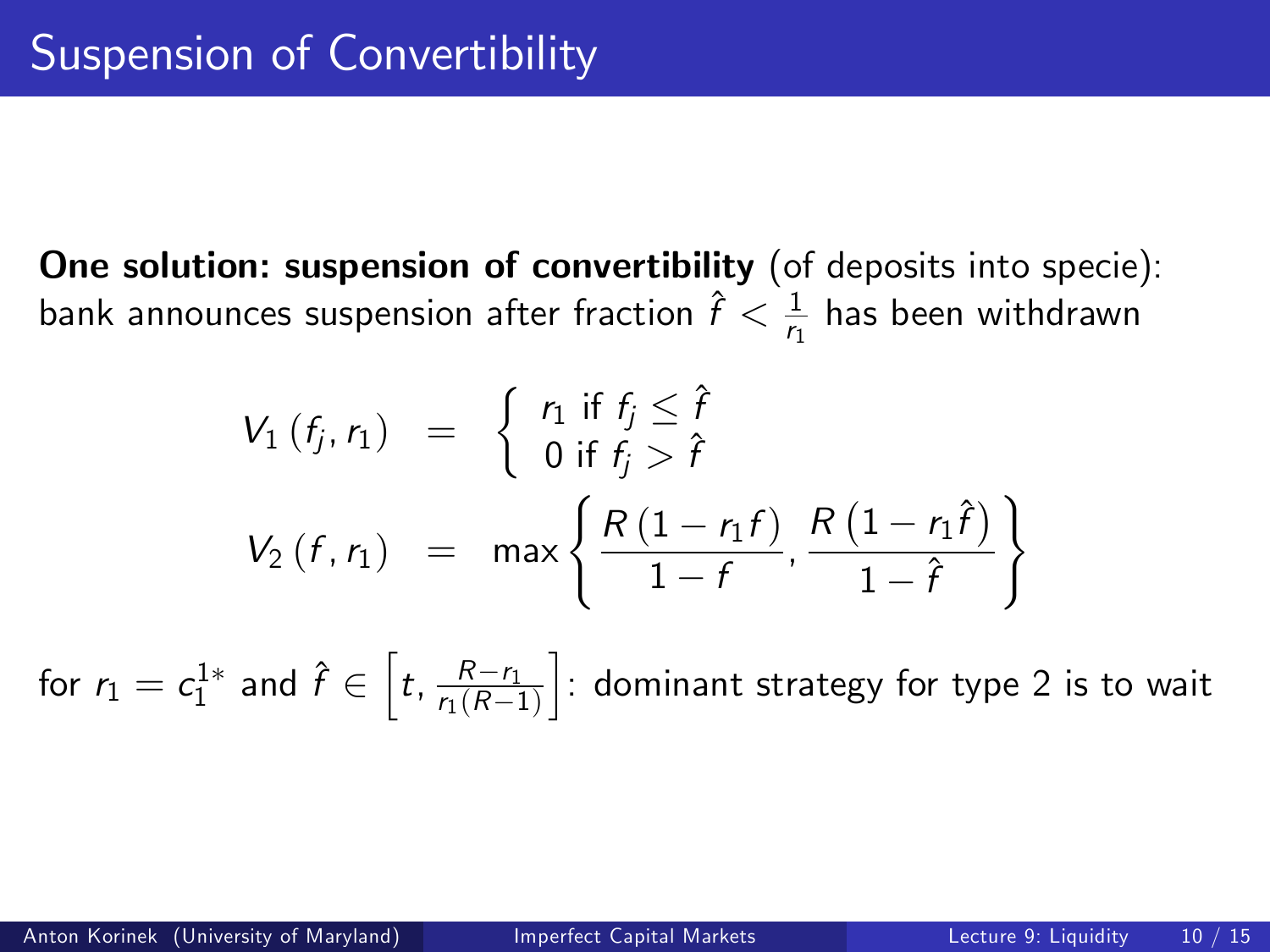One solution: suspension of convertibility (of deposits into specie): bank announces suspension after fraction  $\hat{f}<\frac{1}{r_1}$  has been withdrawn

$$
V_1(f_j, r_1) = \begin{cases} r_1 \text{ if } f_j \leq \hat{f} \\ 0 \text{ if } f_j > \hat{f} \end{cases}
$$
  

$$
V_2(f, r_1) = \max \left\{ \frac{R(1 - r_1 f)}{1 - f}, \frac{R(1 - r_1 \hat{f})}{1 - \hat{f}} \right\}
$$

for  $r_1 = c_1^{1*}$  and  $\hat{f} \in \left[t, \frac{R-r_1}{r_1(R-1)}\right]$  $r_1 (R-1)$  $\c]$ : dominant strategy for type 2 is to wait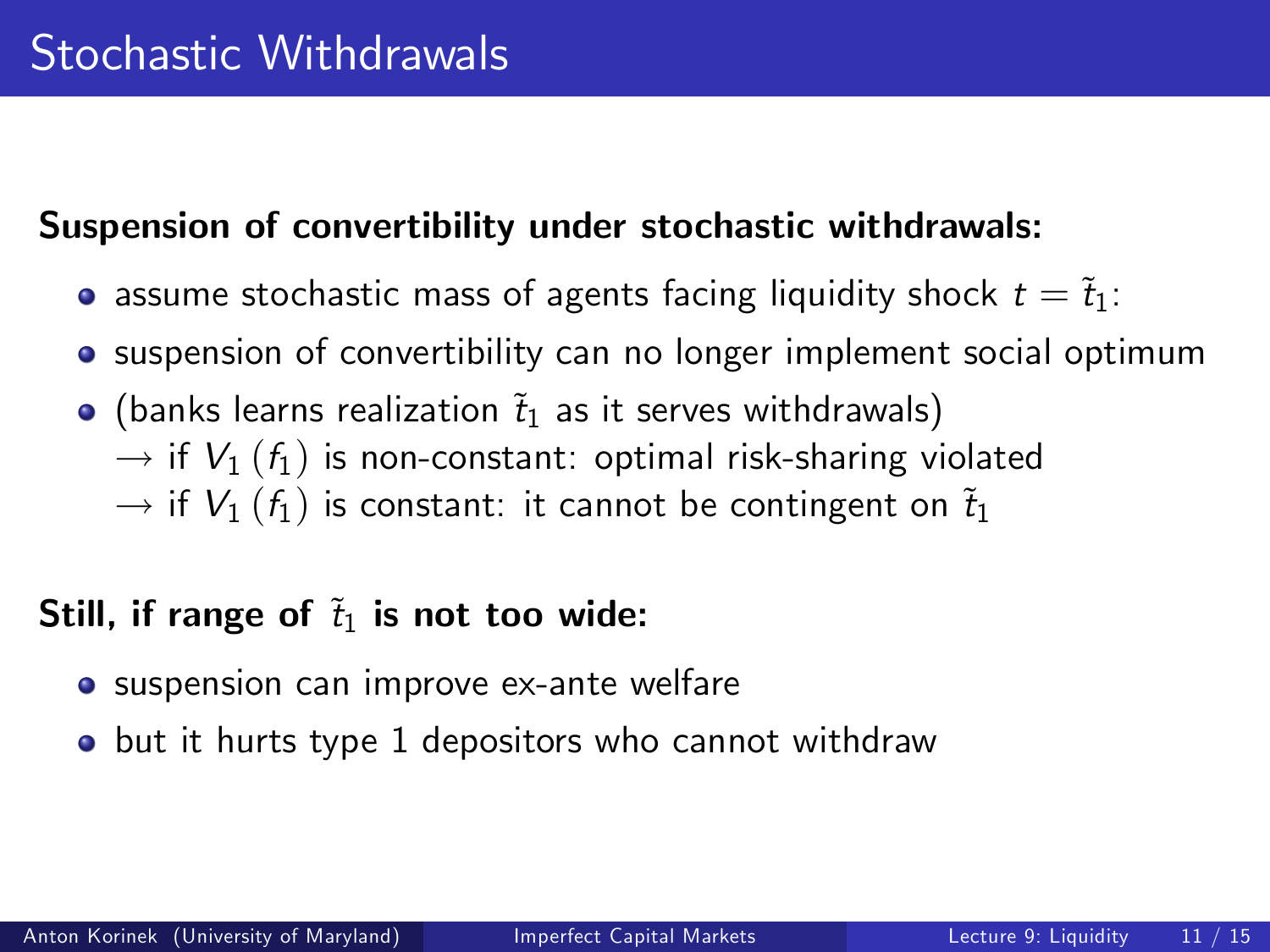### Suspension of convertibility under stochastic withdrawals:

- assume stochastic mass of agents facing liquidity shock  $t = \tilde{t}_1$ :
- suspension of convertibility can no longer implement social optimum
- $\bullet$  (banks learns realization  $\tilde{t}_1$  as it serves withdrawals)  $\rightarrow$  if  $V_1$  ( $f_1$ ) is non-constant: optimal risk-sharing violated  $\rightarrow$  if  $V_1$  ( $f_1$ ) is constant: it cannot be contingent on  $\tilde{t}_1$

## Still, if range of  $\tilde{t}_1$  is not too wide:

- **•** suspension can improve ex-ante welfare
- **o** but it hurts type 1 depositors who cannot withdraw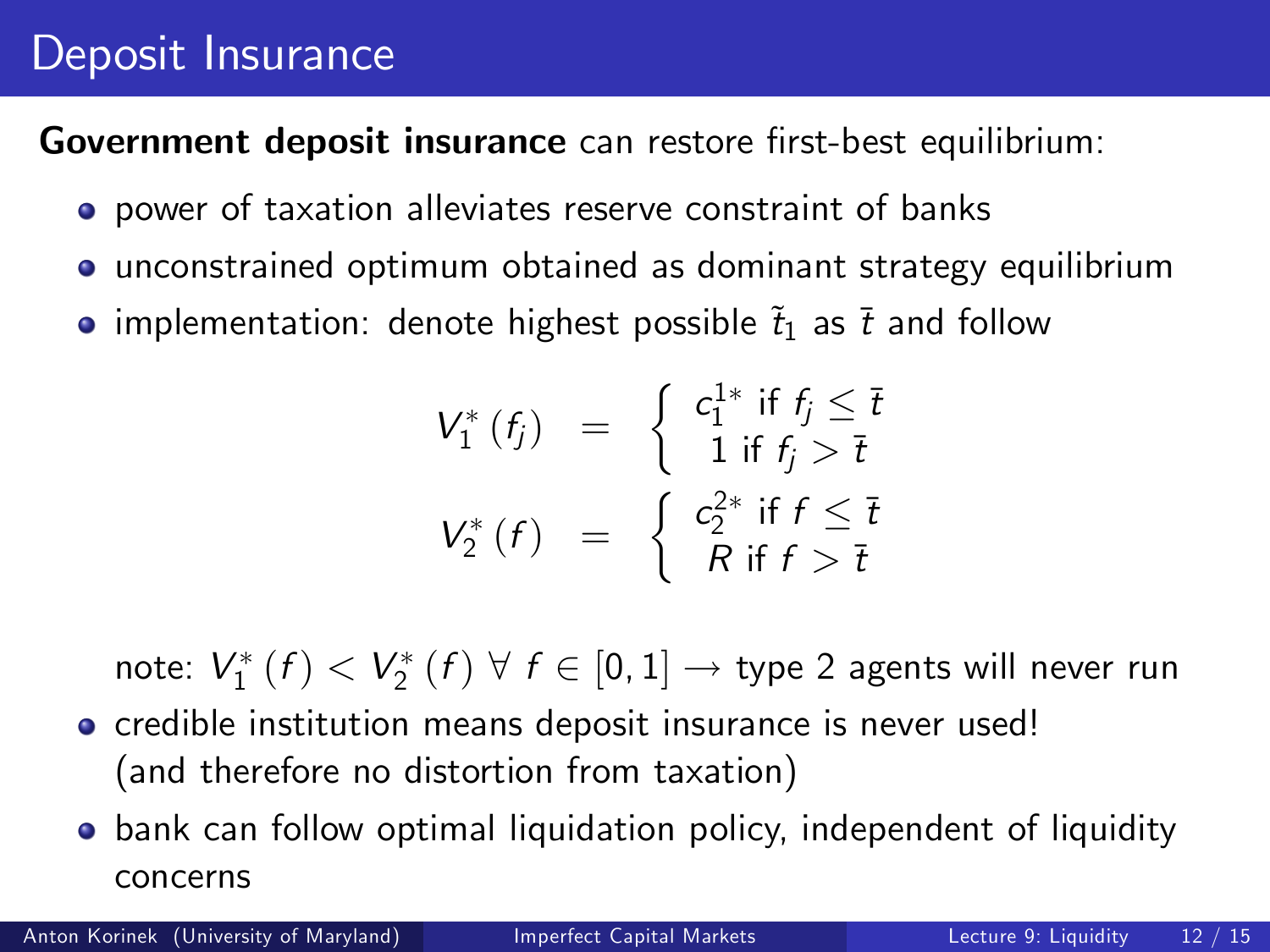# Deposit Insurance

Government deposit insurance can restore first-best equilibrium:

- power of taxation alleviates reserve constraint of banks
- unconstrained optimum obtained as dominant strategy equilibrium
- implementation: denote highest possible  $\tilde{t}_1$  as  $\bar{t}$  and follow

$$
V_1^*(f_j) = \begin{cases} c_1^{1*} & \text{if } f_j \leq \overline{t} \\ 1 & \text{if } f_j > \overline{t} \end{cases}
$$

$$
V_2^*(f) = \begin{cases} c_2^{2*} & \text{if } f \leq \overline{t} \\ R & \text{if } f > \overline{t} \end{cases}
$$

note:  $V_1^*\left(f\right) < V_2^*\left(f\right) \ \forall \ f \in \left[0,1\right] \rightarrow$  type 2 agents will never run

- **o** credible institution means deposit insurance is never used! (and therefore no distortion from taxation)
- **•** bank can follow optimal liquidation policy, independent of liquidity concerns

Anton Korinek (University of Maryland) [Imperfect Capital Markets](#page-0-0) Lecture 9: Liquidity 12 / 15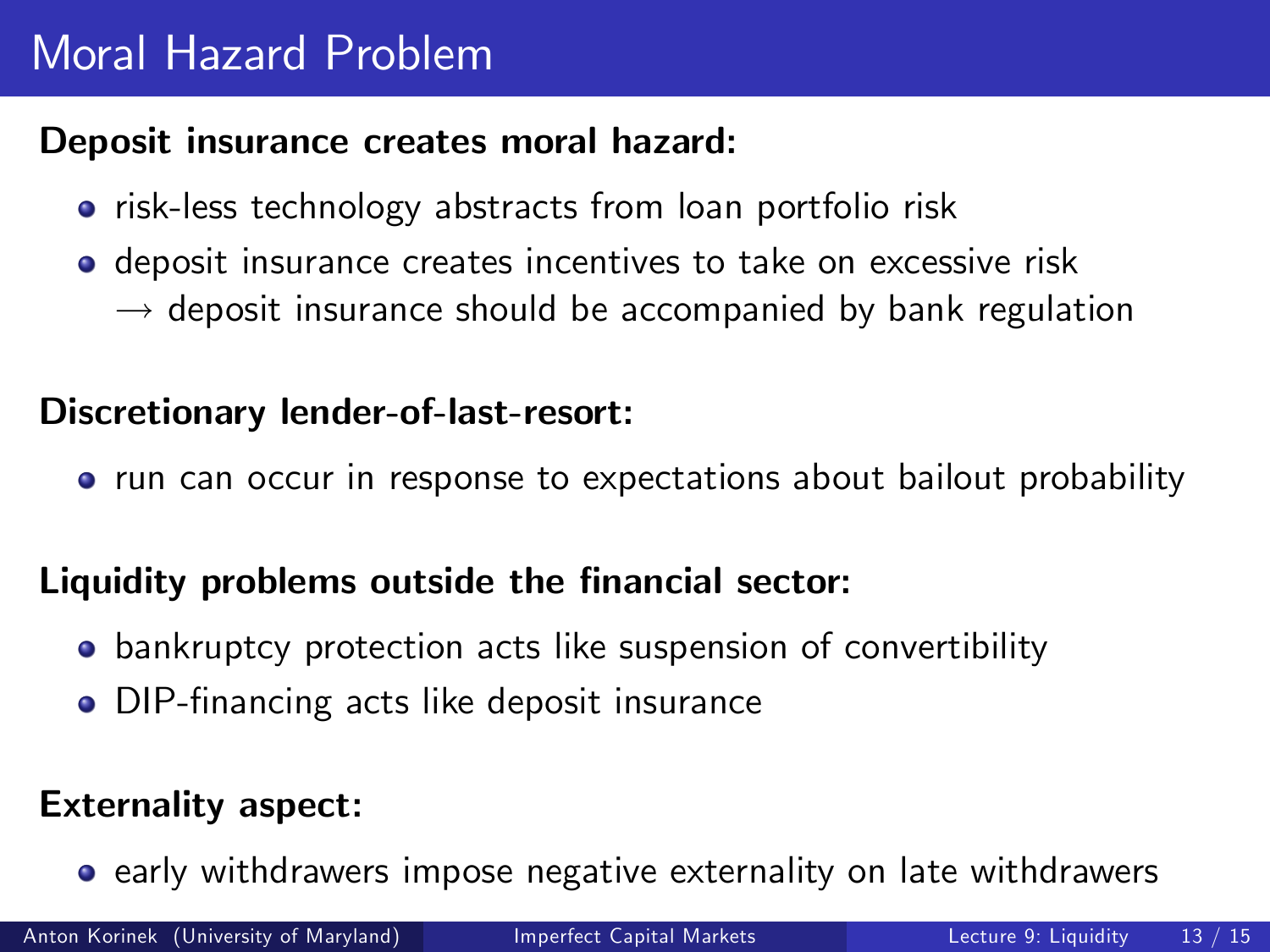# Moral Hazard Problem

#### Deposit insurance creates moral hazard:

- risk-less technology abstracts from loan portfolio risk
- deposit insurance creates incentives to take on excessive risk  $\rightarrow$  deposit insurance should be accompanied by bank regulation

#### Discretionary lender-of-last-resort:

• run can occur in response to expectations about bailout probability

#### Liquidity problems outside the financial sector:

- bankruptcy protection acts like suspension of convertibility
- DIP-financing acts like deposit insurance

#### Externality aspect:

**•** early withdrawers impose negative externality on late withdrawers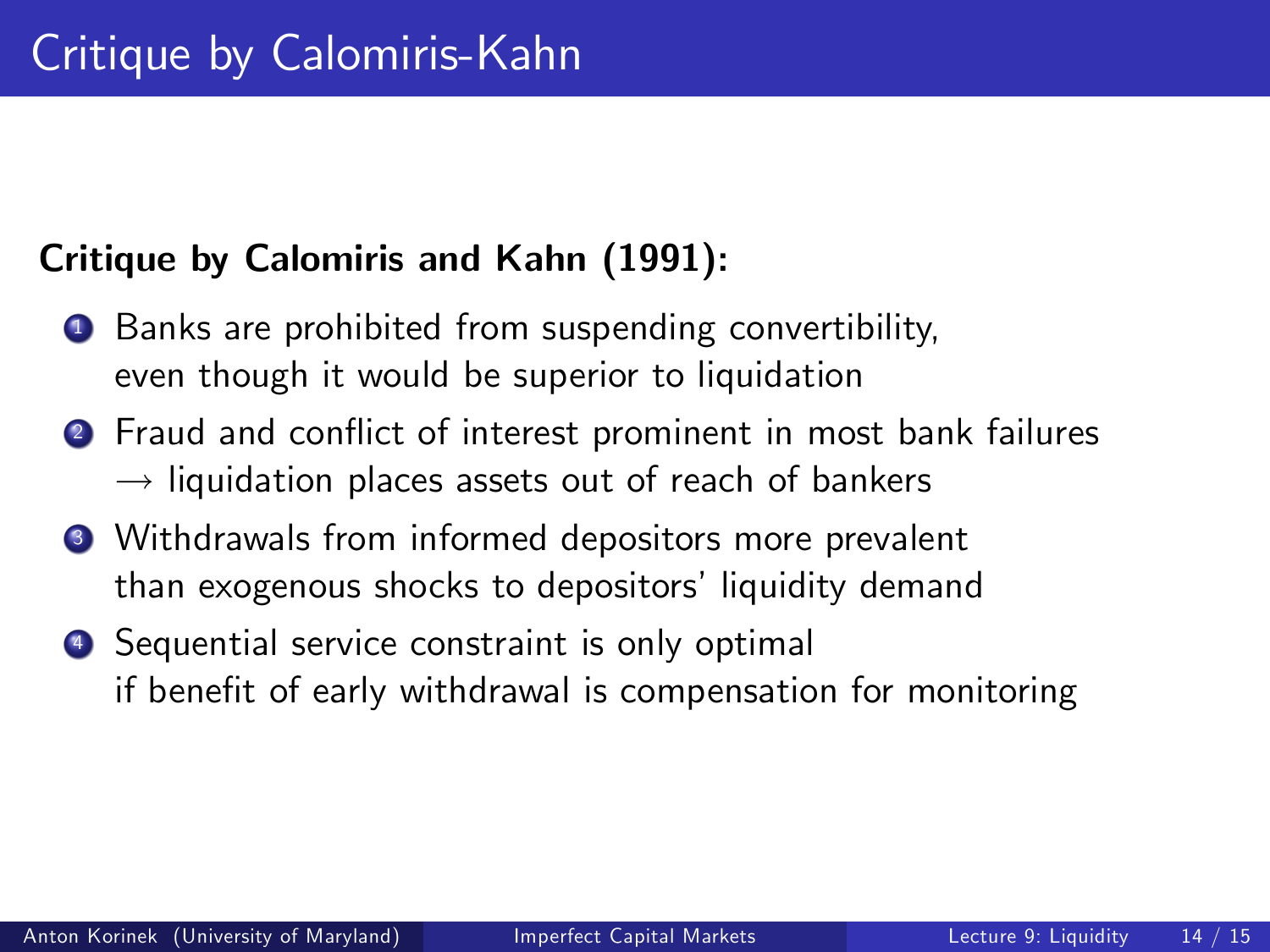### Critique by Calomiris and Kahn (1991):

- **1** Banks are prohibited from suspending convertibility, even though it would be superior to liquidation
- 2 Fraud and conflict of interest prominent in most bank failures  $\rightarrow$  liquidation places assets out of reach of bankers
- <sup>3</sup> Withdrawals from informed depositors more prevalent than exogenous shocks to depositors' liquidity demand
- <sup>4</sup> Sequential service constraint is only optimal if benefit of early withdrawal is compensation for monitoring